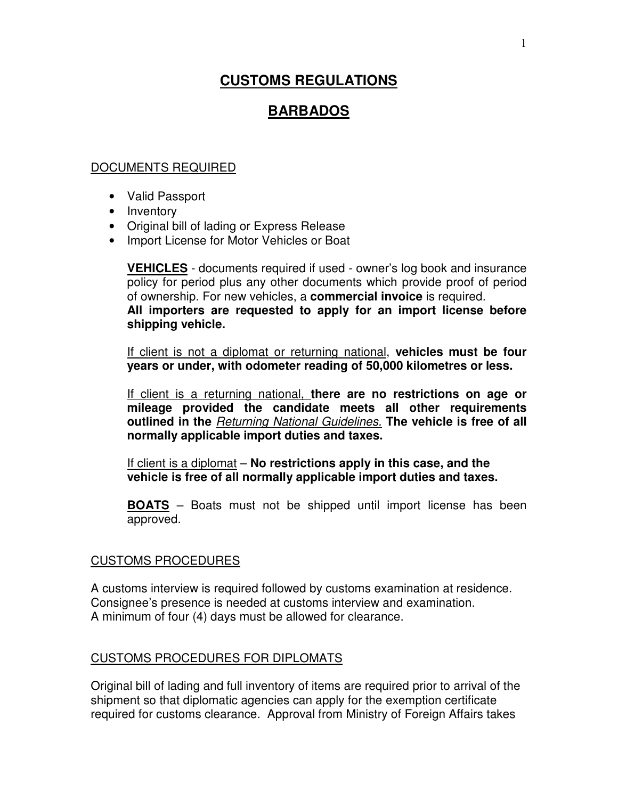# **CUSTOMS REGULATIONS**

# **BARBADOS**

### DOCUMENTS REQUIRED

- Valid Passport
- Inventory
- Original bill of lading or Express Release
- Import License for Motor Vehicles or Boat

**VEHICLES** - documents required if used - owner's log book and insurance policy for period plus any other documents which provide proof of period of ownership. For new vehicles, a **commercial invoice** is required. **All importers are requested to apply for an import license before shipping vehicle.**

If client is not a diplomat or returning national, **vehicles must be four years or under, with odometer reading of 50,000 kilometres or less.** 

If client is a returning national, **there are no restrictions on age or mileage provided the candidate meets all other requirements outlined in the** Returning National Guidelines. **The vehicle is free of all normally applicable import duties and taxes.** 

If client is a diplomat – **No restrictions apply in this case, and the vehicle is free of all normally applicable import duties and taxes.** 

**BOATS** – Boats must not be shipped until import license has been approved.

#### CUSTOMS PROCEDURES

A customs interview is required followed by customs examination at residence. Consignee's presence is needed at customs interview and examination. A minimum of four (4) days must be allowed for clearance.

#### CUSTOMS PROCEDURES FOR DIPLOMATS

Original bill of lading and full inventory of items are required prior to arrival of the shipment so that diplomatic agencies can apply for the exemption certificate required for customs clearance. Approval from Ministry of Foreign Affairs takes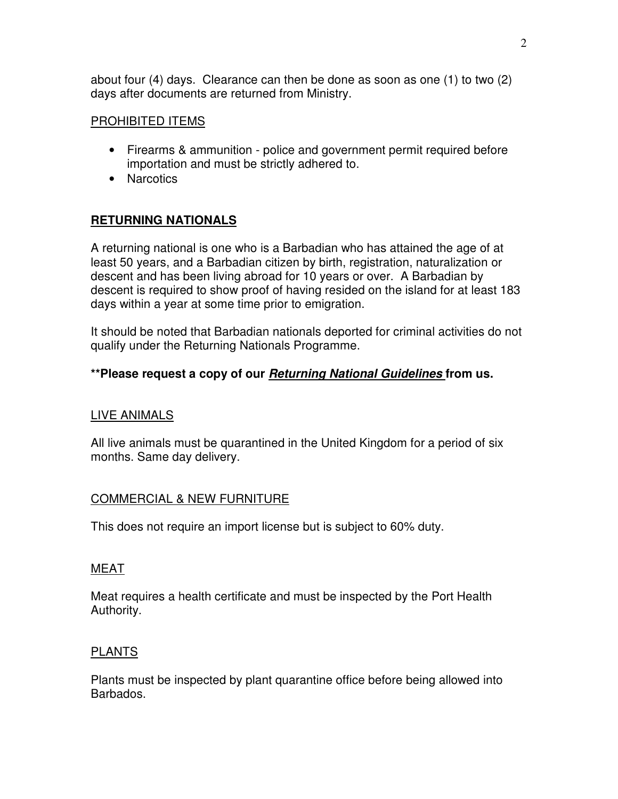about four (4) days. Clearance can then be done as soon as one (1) to two (2) days after documents are returned from Ministry.

#### PROHIBITED ITEMS

- Firearms & ammunition police and government permit required before importation and must be strictly adhered to.
- Narcotics

# **RETURNING NATIONALS**

A returning national is one who is a Barbadian who has attained the age of at least 50 years, and a Barbadian citizen by birth, registration, naturalization or descent and has been living abroad for 10 years or over. A Barbadian by descent is required to show proof of having resided on the island for at least 183 days within a year at some time prior to emigration.

It should be noted that Barbadian nationals deported for criminal activities do not qualify under the Returning Nationals Programme.

# **\*\*Please request a copy of our Returning National Guidelines from us.**

# LIVE ANIMALS

All live animals must be quarantined in the United Kingdom for a period of six months. Same day delivery.

# COMMERCIAL & NEW FURNITURE

This does not require an import license but is subject to 60% duty.

#### MEAT

Meat requires a health certificate and must be inspected by the Port Health Authority.

# PLANTS

Plants must be inspected by plant quarantine office before being allowed into Barbados.